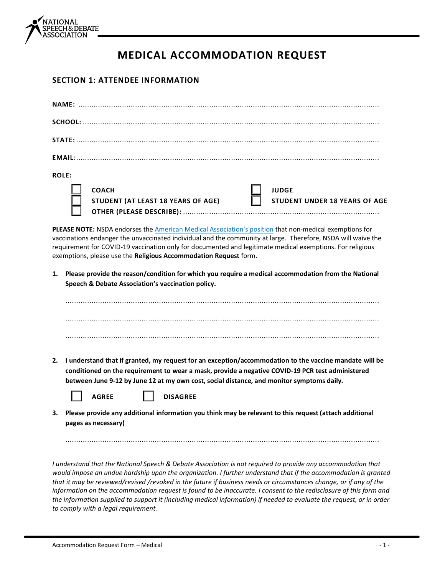

## **MEDICAL ACCOMMODATION REQUEST**

## **SECTION 1: ATTENDEE INFORMATION**

| <b>ROLE:</b>                                                                                                                                                                                                                                                                                                                                                                                            |                                                                                                                                                                                                                                                                                                                                            |  |  |  |  |  |
|---------------------------------------------------------------------------------------------------------------------------------------------------------------------------------------------------------------------------------------------------------------------------------------------------------------------------------------------------------------------------------------------------------|--------------------------------------------------------------------------------------------------------------------------------------------------------------------------------------------------------------------------------------------------------------------------------------------------------------------------------------------|--|--|--|--|--|
|                                                                                                                                                                                                                                                                                                                                                                                                         | <b>COACH</b><br><b>JUDGE</b><br>STUDENT (AT LEAST 18 YEARS OF AGE)<br><b>STUDENT UNDER 18 YEARS OF AGE</b>                                                                                                                                                                                                                                 |  |  |  |  |  |
| PLEASE NOTE: NSDA endorses the American Medical Association's position that non-medical exemptions for<br>vaccinations endanger the unvaccinated individual and the community at large. Therefore, NSDA will waive the<br>requirement for COVID-19 vaccination only for documented and legitimate medical exemptions. For religious<br>exemptions, please use the Religious Accommodation Request form. |                                                                                                                                                                                                                                                                                                                                            |  |  |  |  |  |
| 1.                                                                                                                                                                                                                                                                                                                                                                                                      | Please provide the reason/condition for which you require a medical accommodation from the National<br>Speech & Debate Association's vaccination policy.                                                                                                                                                                                   |  |  |  |  |  |
|                                                                                                                                                                                                                                                                                                                                                                                                         |                                                                                                                                                                                                                                                                                                                                            |  |  |  |  |  |
|                                                                                                                                                                                                                                                                                                                                                                                                         |                                                                                                                                                                                                                                                                                                                                            |  |  |  |  |  |
|                                                                                                                                                                                                                                                                                                                                                                                                         |                                                                                                                                                                                                                                                                                                                                            |  |  |  |  |  |
| 2.                                                                                                                                                                                                                                                                                                                                                                                                      | I understand that if granted, my request for an exception/accommodation to the vaccine mandate will be<br>conditioned on the requirement to wear a mask, provide a negative COVID-19 PCR test administered<br>between June 9-12 by June 12 at my own cost, social distance, and monitor symptoms daily.<br><b>AGREE</b><br><b>DISAGREE</b> |  |  |  |  |  |
| З.                                                                                                                                                                                                                                                                                                                                                                                                      | Please provide any additional information you think may be relevant to this request (attach additional<br>pages as necessary)                                                                                                                                                                                                              |  |  |  |  |  |
|                                                                                                                                                                                                                                                                                                                                                                                                         | I understand that the National Speech & Debate Association is not required to provide any accommodation that<br>would impose an undue hardship upon the organization. I further understand that if the accommodation is granted                                                                                                            |  |  |  |  |  |

*that it may be reviewed/revised /revoked in the future if business needs or circumstances change, or if any of the information on the accommodation request is found to be inaccurate. I consent to the redisclosure of this form and the information supplied to support it (including medical information) if needed to evaluate the request, or in order to comply with a legal requirement.*